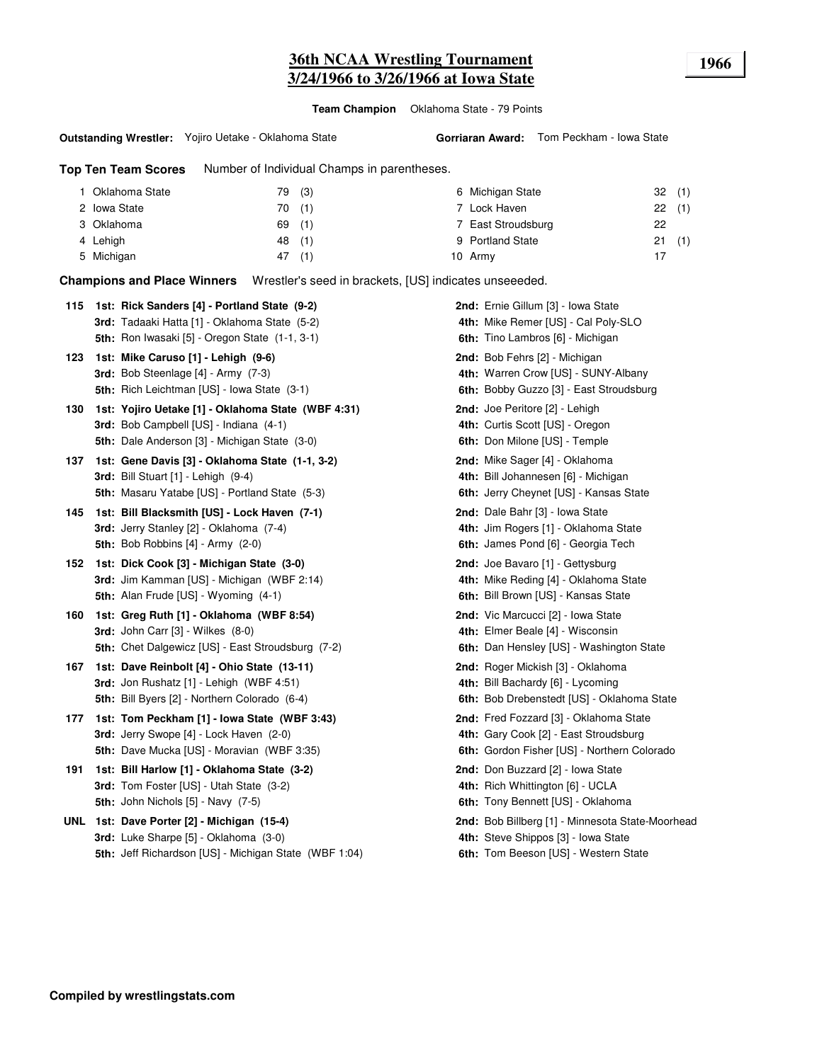**Team Champion** Oklahoma State - 79 Points

#### **Outstanding Wrestler:** Yojiro Uetake - Oklahoma State

**Top Ten Team Scores** Number of Individual Champs in parentheses.

| Oklahoma State | 79 | (3) | 6 Michigan State   |    | 32(1) |
|----------------|----|-----|--------------------|----|-------|
| 2 Iowa State   | 70 | (1) | 7 Lock Haven       |    | 22(1) |
| 3 Oklahoma     | 69 | (1) | 7 East Stroudsburg | 22 |       |
| 4 Lehigh       | 48 | (1) | 9 Portland State   |    | 21(1) |
| 5 Michigan     | 47 | (1) | 10 Army            |    |       |

**Champions and Place Winners** Wrestler's seed in brackets, [US] indicates unseeeded.

|     | 115 1st: Rick Sanders [4] - Portland State (9-2)      | 2nd: Ernie Gillum [3] - Iowa State               |
|-----|-------------------------------------------------------|--------------------------------------------------|
|     | 3rd: Tadaaki Hatta [1] - Oklahoma State (5-2)         | 4th: Mike Remer [US] - Cal Poly-SLO              |
|     | 5th: Ron Iwasaki [5] - Oregon State (1-1, 3-1)        | 6th: Tino Lambros [6] - Michigan                 |
| 123 | 1st: Mike Caruso [1] - Lehigh (9-6)                   | 2nd: Bob Fehrs [2] - Michigan                    |
|     | 3rd: Bob Steenlage [4] - Army (7-3)                   | 4th: Warren Crow [US] - SUNY-Albany              |
|     | <b>5th:</b> Rich Leichtman [US] - Iowa State (3-1)    | 6th: Bobby Guzzo [3] - East Stroudsburg          |
| 130 | 1st: Yojiro Uetake [1] - Oklahoma State (WBF 4:31)    | 2nd: Joe Peritore [2] - Lehigh                   |
|     | 3rd: Bob Campbell [US] - Indiana (4-1)                | 4th: Curtis Scott [US] - Oregon                  |
|     | 5th: Dale Anderson [3] - Michigan State (3-0)         | 6th: Don Milone [US] - Temple                    |
| 137 | 1st: Gene Davis [3] - Oklahoma State (1-1, 3-2)       | 2nd: Mike Sager [4] - Oklahoma                   |
|     | 3rd: Bill Stuart [1] - Lehigh (9-4)                   | 4th: Bill Johannesen [6] - Michigan              |
|     | 5th: Masaru Yatabe [US] - Portland State (5-3)        | 6th: Jerry Cheynet [US] - Kansas State           |
| 145 | 1st: Bill Blacksmith [US] - Lock Haven (7-1)          | 2nd: Dale Bahr [3] - Iowa State                  |
|     | 3rd: Jerry Stanley [2] - Oklahoma (7-4)               | 4th: Jim Rogers [1] - Oklahoma State             |
|     | <b>5th:</b> Bob Robbins $[4]$ - Army $(2-0)$          | 6th: James Pond [6] - Georgia Tech               |
| 152 | 1st: Dick Cook [3] - Michigan State (3-0)             | 2nd: Joe Bavaro [1] - Gettysburg                 |
|     | 3rd: Jim Kamman [US] - Michigan (WBF 2:14)            | 4th: Mike Reding [4] - Oklahoma State            |
|     | 5th: Alan Frude [US] - Wyoming (4-1)                  | 6th: Bill Brown [US] - Kansas State              |
| 160 | 1st: Greg Ruth [1] - Oklahoma (WBF 8:54)              | 2nd: Vic Marcucci [2] - Iowa State               |
|     | 3rd: John Carr [3] - Wilkes (8-0)                     | 4th: Elmer Beale [4] - Wisconsin                 |
|     | 5th: Chet Dalgewicz [US] - East Stroudsburg (7-2)     | 6th: Dan Hensley [US] - Washington State         |
| 167 | 1st: Dave Reinbolt [4] - Ohio State (13-11)           | 2nd: Roger Mickish [3] - Oklahoma                |
|     | 3rd: Jon Rushatz [1] - Lehigh (WBF 4:51)              | 4th: Bill Bachardy [6] - Lycoming                |
|     | 5th: Bill Byers [2] - Northern Colorado (6-4)         | 6th: Bob Drebenstedt [US] - Oklahoma State       |
| 177 | 1st: Tom Peckham [1] - Iowa State (WBF 3:43)          | 2nd: Fred Fozzard [3] - Oklahoma State           |
|     | 3rd: Jerry Swope [4] - Lock Haven (2-0)               | 4th: Gary Cook [2] - East Stroudsburg            |
|     | <b>5th:</b> Dave Mucka [US] - Moravian (WBF 3:35)     | 6th: Gordon Fisher [US] - Northern Colorado      |
| 191 | 1st: Bill Harlow [1] - Oklahoma State (3-2)           | 2nd: Don Buzzard [2] - Iowa State                |
|     | <b>3rd:</b> Tom Foster [US] - Utah State (3-2)        | 4th: Rich Whittington [6] - UCLA                 |
|     | 5th: John Nichols [5] - Navy (7-5)                    | 6th: Tony Bennett [US] - Oklahoma                |
|     | UNL 1st: Dave Porter [2] - Michigan (15-4)            | 2nd: Bob Billberg [1] - Minnesota State-Moorhead |
|     | 3rd: Luke Sharpe [5] - Oklahoma (3-0)                 | 4th: Steve Shippos [3] - Iowa State              |
|     | 5th: Jeff Richardson [US] - Michigan State (WBF 1:04) | 6th: Tom Beeson [US] - Western State             |
|     |                                                       |                                                  |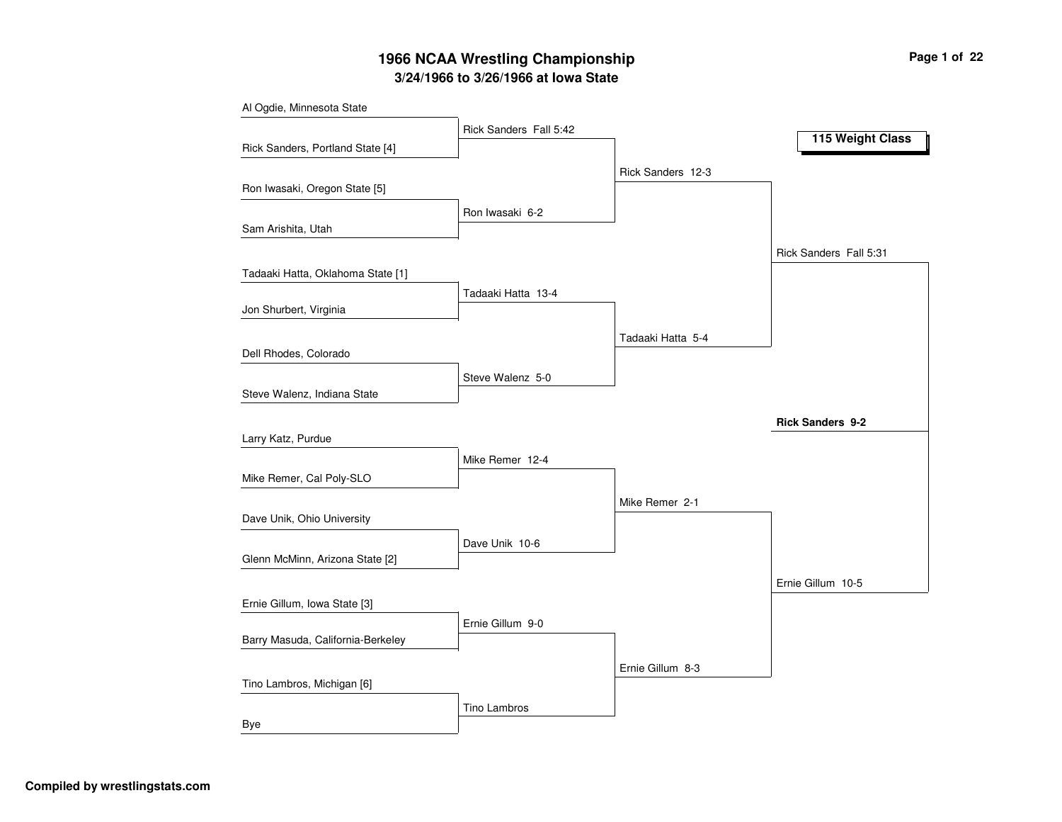# **3/24/1966 to 3/26/1966 at Iowa State 1966 NCAA Wrestling Championship Page <sup>1</sup> of <sup>22</sup>**

Tino Lambros

| Al Ogdie, Minnesota State         |                        |                   |                         |
|-----------------------------------|------------------------|-------------------|-------------------------|
|                                   | Rick Sanders Fall 5:42 |                   | 115 Weight Class        |
| Rick Sanders, Portland State [4]  |                        |                   |                         |
|                                   |                        | Rick Sanders 12-3 |                         |
| Ron Iwasaki, Oregon State [5]     |                        |                   |                         |
|                                   | Ron Iwasaki 6-2        |                   |                         |
| Sam Arishita, Utah                |                        |                   |                         |
|                                   |                        |                   | Rick Sanders Fall 5:31  |
| Tadaaki Hatta, Oklahoma State [1] |                        |                   |                         |
|                                   | Tadaaki Hatta 13-4     |                   |                         |
| Jon Shurbert, Virginia            |                        |                   |                         |
|                                   |                        | Tadaaki Hatta 5-4 |                         |
| Dell Rhodes, Colorado             |                        |                   |                         |
|                                   | Steve Walenz 5-0       |                   |                         |
| Steve Walenz, Indiana State       |                        |                   |                         |
|                                   |                        |                   | <b>Rick Sanders 9-2</b> |
| Larry Katz, Purdue                |                        |                   |                         |
|                                   | Mike Remer 12-4        |                   |                         |
| Mike Remer, Cal Poly-SLO          |                        |                   |                         |
|                                   |                        | Mike Remer 2-1    |                         |
| Dave Unik, Ohio University        |                        |                   |                         |
|                                   | Dave Unik 10-6         |                   |                         |
| Glenn McMinn, Arizona State [2]   |                        |                   |                         |
|                                   |                        |                   | Ernie Gillum 10-5       |
| Ernie Gillum, Iowa State [3]      |                        |                   |                         |
|                                   | Ernie Gillum 9-0       |                   |                         |
| Barry Masuda, California-Berkeley |                        |                   |                         |
|                                   |                        | Ernie Gillum 8-3  |                         |
| Tino Lambros, Michigan [6]        |                        |                   |                         |

Bye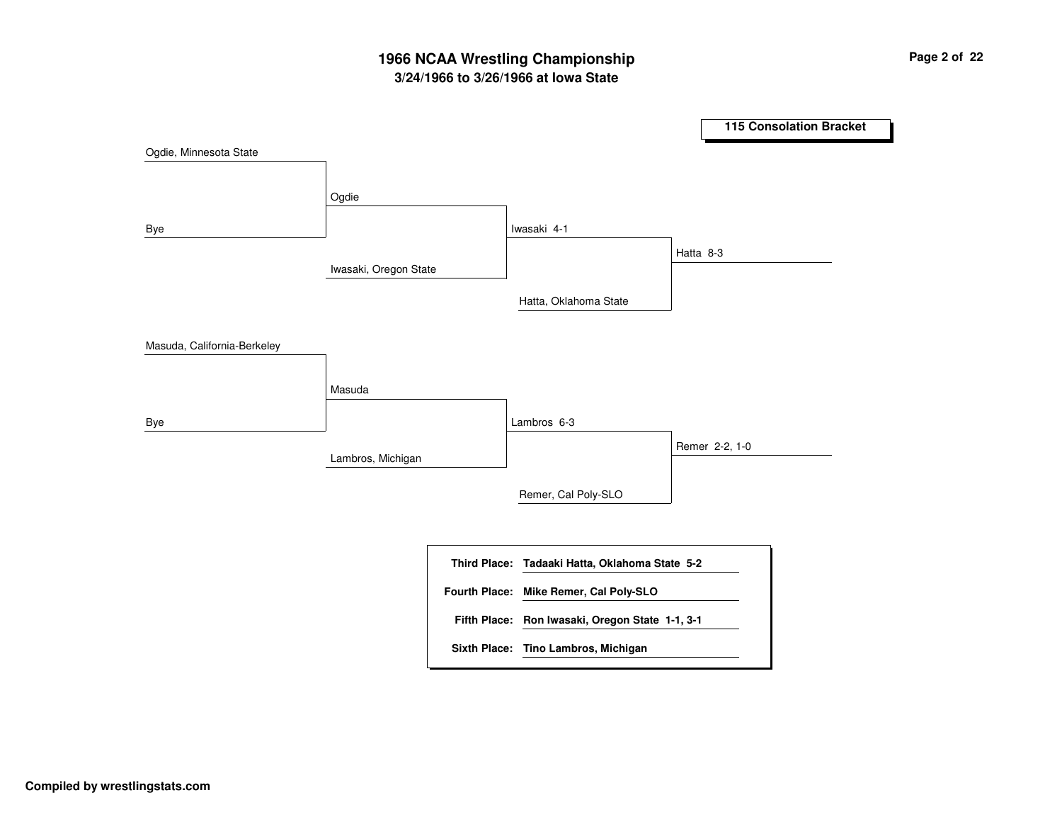# **3/24/1966 to 3/26/1966 at Iowa State 1966 NCAA Wrestling Championship Page <sup>2</sup> of <sup>22</sup>**

**115 Consolation Bracket** Iwasaki, Oregon State Lambros, Michigan Ogdie Masuda Iwasaki 4-1Lambros 6-3Hatta, Oklahoma State Remer, Cal Poly-SLO Hatta 8-3 Remer 2-2, 1-0 Ogdie, Minnesota State Bye Masuda, California-Berkeley Bye **Tadaaki Hatta, Oklahoma State 5-2 Third Place: Ron Iwasaki, Oregon State 1-1, 3-1 Fifth Place: Fourth Place: Mike Remer, Cal Poly-SLO Sixth Place: Tino Lambros, Michigan**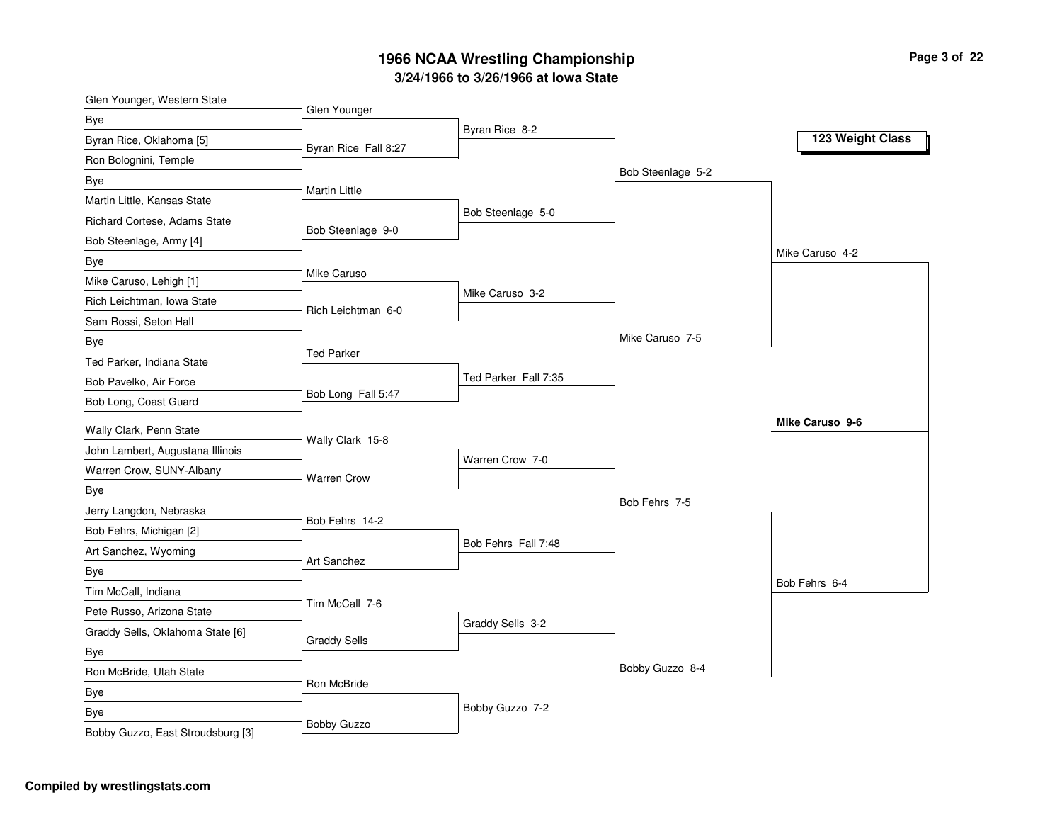| Glen Younger, Western State       | Glen Younger         |                      |                   |                  |
|-----------------------------------|----------------------|----------------------|-------------------|------------------|
| Bye                               |                      | Byran Rice 8-2       |                   |                  |
| Byran Rice, Oklahoma [5]          | Byran Rice Fall 8:27 |                      |                   | 123 Weight Class |
| Ron Bolognini, Temple             |                      |                      |                   |                  |
| Bye                               |                      |                      | Bob Steenlage 5-2 |                  |
| Martin Little, Kansas State       | <b>Martin Little</b> |                      |                   |                  |
| Richard Cortese, Adams State      |                      | Bob Steenlage 5-0    |                   |                  |
| Bob Steenlage, Army [4]           | Bob Steenlage 9-0    |                      |                   |                  |
| Bye                               |                      |                      |                   | Mike Caruso 4-2  |
| Mike Caruso, Lehigh [1]           | Mike Caruso          |                      |                   |                  |
| Rich Leichtman, Iowa State        | Rich Leichtman 6-0   | Mike Caruso 3-2      |                   |                  |
| Sam Rossi, Seton Hall             |                      |                      |                   |                  |
| Bye                               |                      |                      | Mike Caruso 7-5   |                  |
| Ted Parker, Indiana State         | <b>Ted Parker</b>    |                      |                   |                  |
| Bob Pavelko, Air Force            |                      | Ted Parker Fall 7:35 |                   |                  |
| Bob Long, Coast Guard             | Bob Long Fall 5:47   |                      |                   |                  |
| Wally Clark, Penn State           |                      |                      |                   | Mike Caruso 9-6  |
| John Lambert, Augustana Illinois  | Wally Clark 15-8     | Warren Crow 7-0      |                   |                  |
| Warren Crow, SUNY-Albany          | <b>Warren Crow</b>   |                      |                   |                  |
| Bye                               |                      |                      |                   |                  |
| Jerry Langdon, Nebraska           |                      |                      | Bob Fehrs 7-5     |                  |
| Bob Fehrs, Michigan [2]           | Bob Fehrs 14-2       |                      |                   |                  |
| Art Sanchez, Wyoming              | Art Sanchez          | Bob Fehrs Fall 7:48  |                   |                  |
| Bye                               |                      |                      |                   |                  |
| Tim McCall, Indiana               |                      |                      |                   | Bob Fehrs 6-4    |
| Pete Russo, Arizona State         | Tim McCall 7-6       |                      |                   |                  |
| Graddy Sells, Oklahoma State [6]  |                      | Graddy Sells 3-2     |                   |                  |
| Bye                               | <b>Graddy Sells</b>  |                      |                   |                  |
| Ron McBride, Utah State           |                      |                      | Bobby Guzzo 8-4   |                  |
| Bye                               | Ron McBride          |                      |                   |                  |
| Bye                               |                      | Bobby Guzzo 7-2      |                   |                  |
| Bobby Guzzo, East Stroudsburg [3] | Bobby Guzzo          |                      |                   |                  |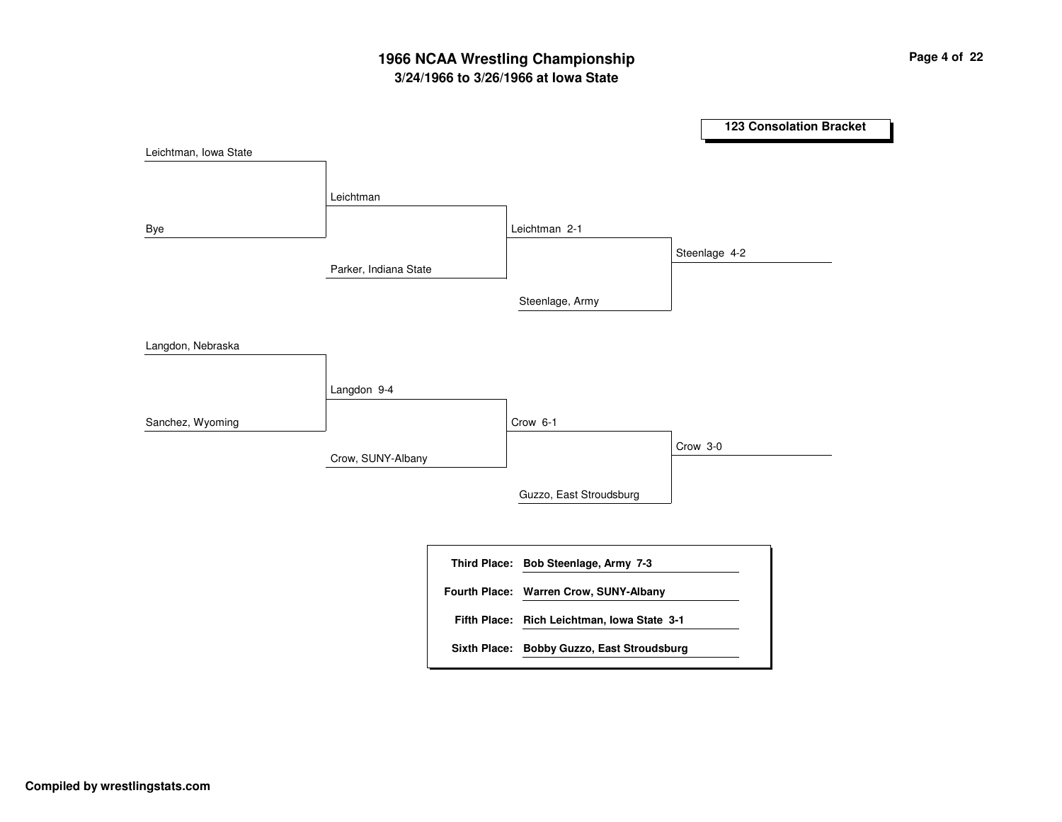# **3/24/1966 to 3/26/1966 at Iowa State 1966 NCAA Wrestling Championship Page <sup>4</sup> of <sup>22</sup>**

**123 Consolation Bracket** Parker, Indiana State Crow, SUNY-Albany LeichtmanLangdon 9-4 Leichtman 2-1 Crow 6-1 Steenlage, Army Guzzo, East Stroudsburg Steenlage 4-2 Crow 3-0 Leichtman, Iowa State Bye Langdon, Nebraska Sanchez, Wyoming **Bob Steenlage, Army 7-3 Third Place: Rich Leichtman, Iowa State 3-1 Fifth Place: Fourth Place: Warren Crow, SUNY-Albany Sixth Place: Bobby Guzzo, East Stroudsburg**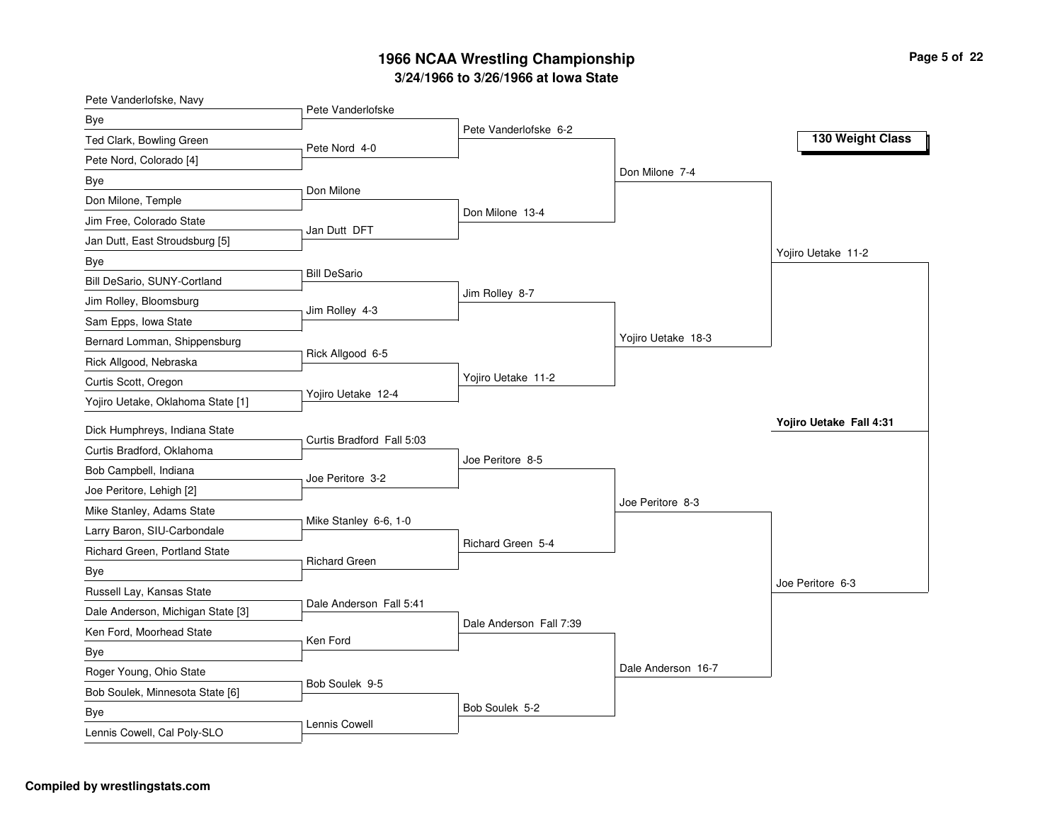| Pete Vanderlofske, Navy           | Pete Vanderlofske         |                         |                    |                         |
|-----------------------------------|---------------------------|-------------------------|--------------------|-------------------------|
| <b>Bye</b>                        |                           | Pete Vanderlofske 6-2   |                    |                         |
| Ted Clark, Bowling Green          | Pete Nord 4-0             |                         |                    | 130 Weight Class        |
| Pete Nord, Colorado [4]           |                           |                         |                    |                         |
| Bye                               |                           |                         | Don Milone 7-4     |                         |
| Don Milone, Temple                | Don Milone                |                         |                    |                         |
| Jim Free, Colorado State          |                           | Don Milone 13-4         |                    |                         |
| Jan Dutt, East Stroudsburg [5]    | Jan Dutt DFT              |                         |                    |                         |
| Bye                               |                           |                         |                    | Yojiro Uetake 11-2      |
| Bill DeSario, SUNY-Cortland       | <b>Bill DeSario</b>       |                         |                    |                         |
| Jim Rolley, Bloomsburg            | Jim Rolley 4-3            | Jim Rolley 8-7          |                    |                         |
| Sam Epps, Iowa State              |                           |                         |                    |                         |
| Bernard Lomman, Shippensburg      |                           |                         | Yojiro Uetake 18-3 |                         |
| Rick Allgood, Nebraska            | Rick Allgood 6-5          |                         |                    |                         |
| Curtis Scott, Oregon              |                           | Yojiro Uetake 11-2      |                    |                         |
| Yojiro Uetake, Oklahoma State [1] | Yojiro Uetake 12-4        |                         |                    |                         |
| Dick Humphreys, Indiana State     |                           |                         |                    | Yojiro Uetake Fall 4:31 |
| Curtis Bradford, Oklahoma         | Curtis Bradford Fall 5:03 | Joe Peritore 8-5        |                    |                         |
| Bob Campbell, Indiana             | Joe Peritore 3-2          |                         |                    |                         |
| Joe Peritore, Lehigh [2]          |                           |                         |                    |                         |
| Mike Stanley, Adams State         |                           |                         | Joe Peritore 8-3   |                         |
| Larry Baron, SIU-Carbondale       | Mike Stanley 6-6, 1-0     |                         |                    |                         |
| Richard Green, Portland State     |                           | Richard Green 5-4       |                    |                         |
| Bye                               | <b>Richard Green</b>      |                         |                    |                         |
| Russell Lay, Kansas State         |                           |                         |                    | Joe Peritore 6-3        |
| Dale Anderson, Michigan State [3] | Dale Anderson Fall 5:41   |                         |                    |                         |
| Ken Ford, Moorhead State          |                           | Dale Anderson Fall 7:39 |                    |                         |
| Bye                               | Ken Ford                  |                         |                    |                         |
| Roger Young, Ohio State           |                           |                         | Dale Anderson 16-7 |                         |
| Bob Soulek, Minnesota State [6]   | Bob Soulek 9-5            |                         |                    |                         |
| Bye                               |                           | Bob Soulek 5-2          |                    |                         |
| Lennis Cowell, Cal Poly-SLO       | Lennis Cowell             |                         |                    |                         |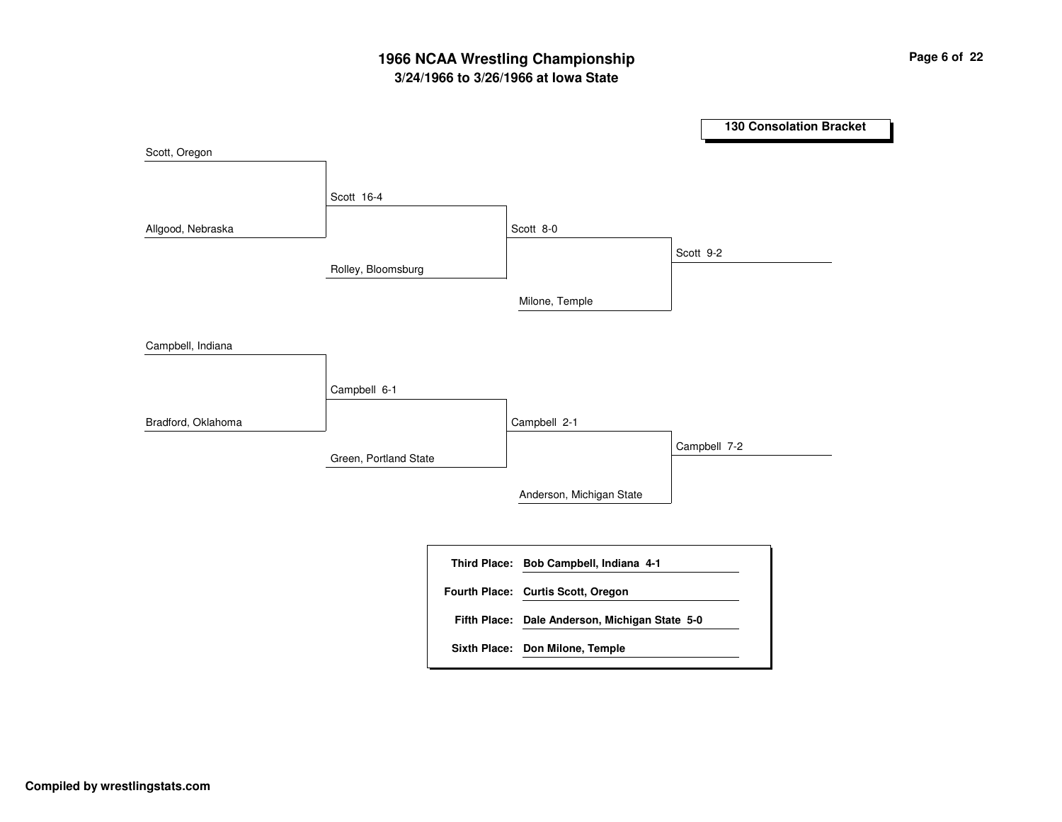# **3/24/1966 to 3/26/1966 at Iowa State 1966 NCAA Wrestling Championship Page <sup>6</sup> of <sup>22</sup>**

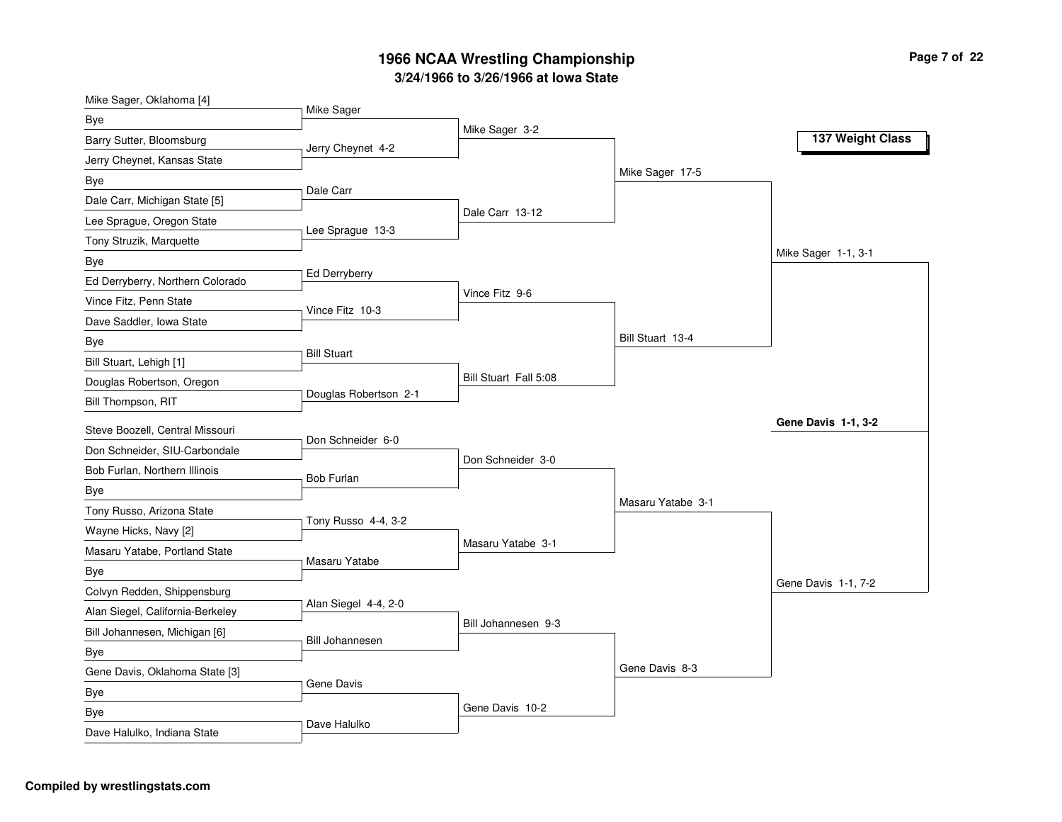| Mike Sager, Oklahoma [4]         |                        |                       |                   |                     |
|----------------------------------|------------------------|-----------------------|-------------------|---------------------|
| Bye                              | Mike Sager             |                       |                   |                     |
| Barry Sutter, Bloomsburg         | Jerry Cheynet 4-2      | Mike Sager 3-2        |                   | 137 Weight Class    |
| Jerry Cheynet, Kansas State      |                        |                       |                   |                     |
| Bye                              | Dale Carr              |                       | Mike Sager 17-5   |                     |
| Dale Carr, Michigan State [5]    |                        |                       |                   |                     |
| Lee Sprague, Oregon State        |                        | Dale Carr 13-12       |                   |                     |
| Tony Struzik, Marquette          | Lee Sprague 13-3       |                       |                   |                     |
| Bye                              |                        |                       |                   | Mike Sager 1-1, 3-1 |
| Ed Derryberry, Northern Colorado | Ed Derryberry          |                       |                   |                     |
| Vince Fitz, Penn State           | Vince Fitz 10-3        | Vince Fitz 9-6        |                   |                     |
| Dave Saddler, Iowa State         |                        |                       |                   |                     |
| Bye                              |                        |                       | Bill Stuart 13-4  |                     |
| Bill Stuart, Lehigh [1]          | <b>Bill Stuart</b>     |                       |                   |                     |
| Douglas Robertson, Oregon        |                        | Bill Stuart Fall 5:08 |                   |                     |
| Bill Thompson, RIT               | Douglas Robertson 2-1  |                       |                   |                     |
| Steve Boozell, Central Missouri  |                        |                       |                   | Gene Davis 1-1, 3-2 |
| Don Schneider, SIU-Carbondale    | Don Schneider 6-0      |                       |                   |                     |
| Bob Furlan, Northern Illinois    |                        | Don Schneider 3-0     |                   |                     |
| Bye                              | <b>Bob Furlan</b>      |                       |                   |                     |
| Tony Russo, Arizona State        |                        |                       | Masaru Yatabe 3-1 |                     |
| Wayne Hicks, Navy [2]            | Tony Russo 4-4, 3-2    |                       |                   |                     |
| Masaru Yatabe, Portland State    |                        | Masaru Yatabe 3-1     |                   |                     |
| Bye                              | Masaru Yatabe          |                       |                   |                     |
| Colvyn Redden, Shippensburg      |                        |                       |                   | Gene Davis 1-1, 7-2 |
| Alan Siegel, California-Berkeley | Alan Siegel 4-4, 2-0   |                       |                   |                     |
| Bill Johannesen, Michigan [6]    |                        | Bill Johannesen 9-3   |                   |                     |
| <b>Bye</b>                       | <b>Bill Johannesen</b> |                       |                   |                     |
| Gene Davis, Oklahoma State [3]   |                        |                       | Gene Davis 8-3    |                     |
| Bye                              | Gene Davis             |                       |                   |                     |
| Bye                              |                        | Gene Davis 10-2       |                   |                     |
| Dave Halulko, Indiana State      | Dave Halulko           |                       |                   |                     |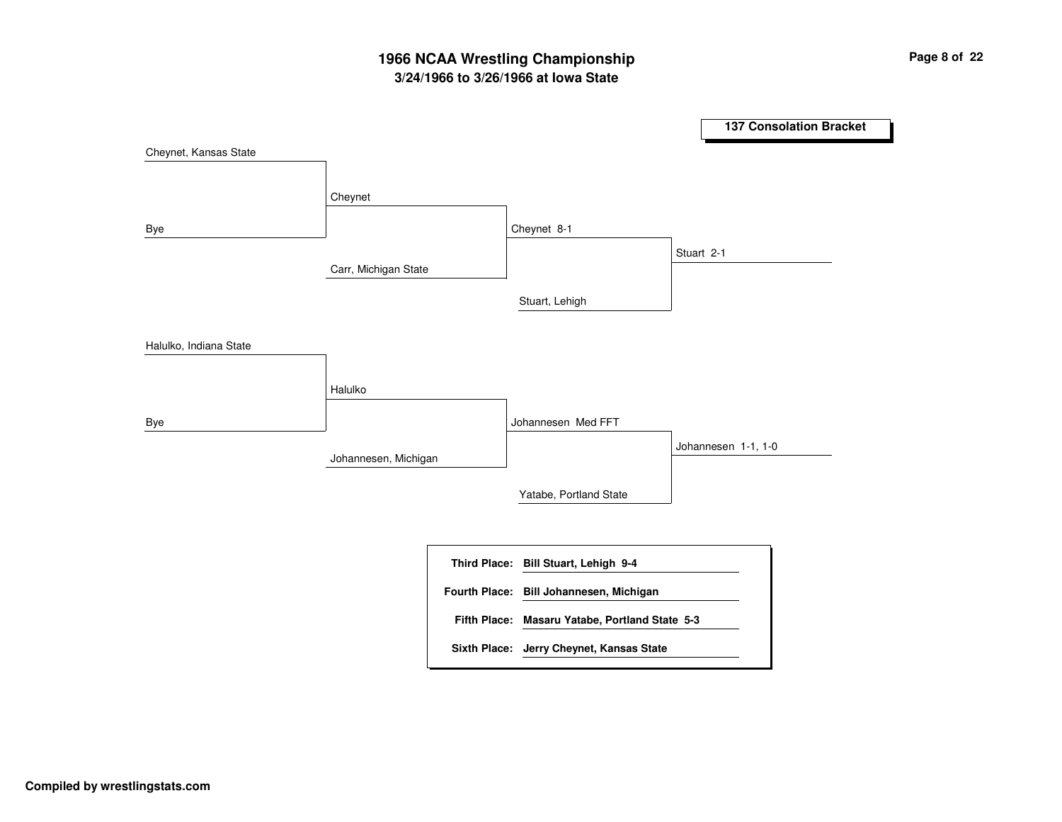# **3/24/1966 to 3/26/1966 at Iowa State 1966 NCAA Wrestling Championship Page <sup>8</sup> of <sup>22</sup>**

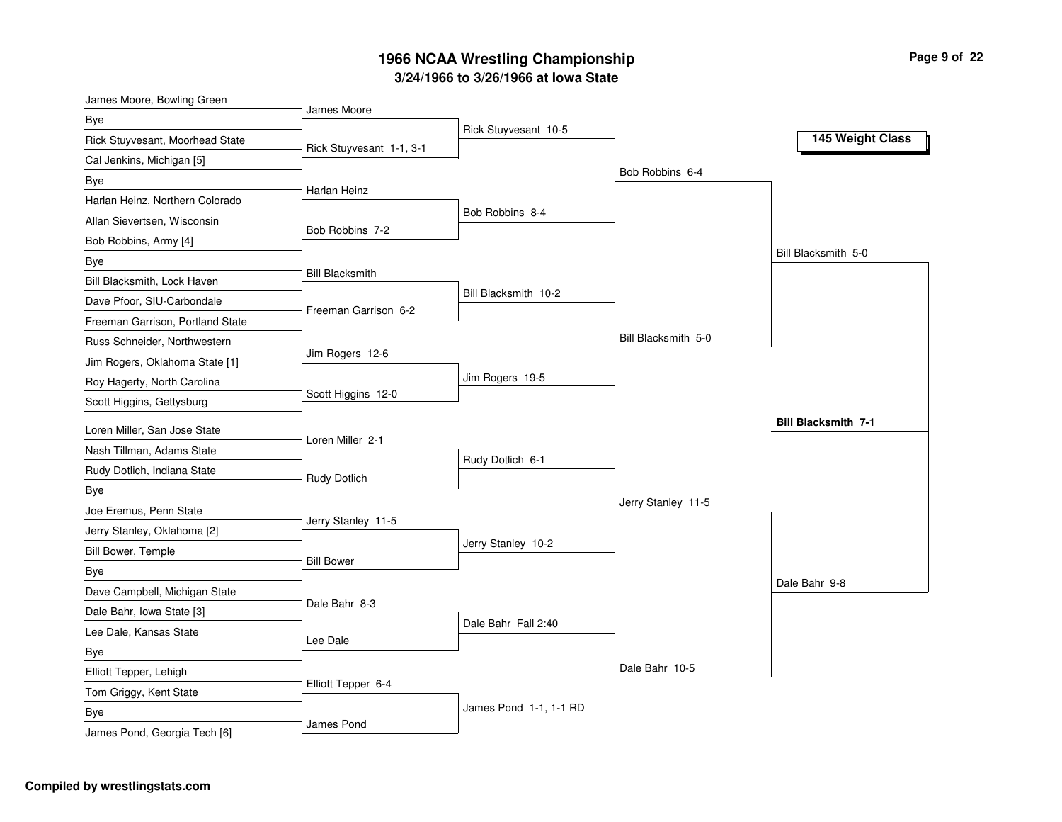| James Moore, Bowling Green       | James Moore              |                        |                     |                            |
|----------------------------------|--------------------------|------------------------|---------------------|----------------------------|
| Bye                              |                          | Rick Stuyvesant 10-5   |                     |                            |
| Rick Stuyvesant, Moorhead State  | Rick Stuyvesant 1-1, 3-1 |                        |                     | 145 Weight Class           |
| Cal Jenkins, Michigan [5]        |                          |                        |                     |                            |
| Bye                              | Harlan Heinz             |                        | Bob Robbins 6-4     |                            |
| Harlan Heinz, Northern Colorado  |                          |                        |                     |                            |
| Allan Sievertsen, Wisconsin      | Bob Robbins 7-2          | Bob Robbins 8-4        |                     |                            |
| Bob Robbins, Army [4]            |                          |                        |                     |                            |
| Bye                              |                          |                        |                     | Bill Blacksmith 5-0        |
| Bill Blacksmith, Lock Haven      | <b>Bill Blacksmith</b>   |                        |                     |                            |
| Dave Pfoor, SIU-Carbondale       | Freeman Garrison 6-2     | Bill Blacksmith 10-2   |                     |                            |
| Freeman Garrison, Portland State |                          |                        |                     |                            |
| Russ Schneider, Northwestern     |                          |                        | Bill Blacksmith 5-0 |                            |
| Jim Rogers, Oklahoma State [1]   | Jim Rogers 12-6          |                        |                     |                            |
| Roy Hagerty, North Carolina      |                          | Jim Rogers 19-5        |                     |                            |
| Scott Higgins, Gettysburg        | Scott Higgins 12-0       |                        |                     |                            |
| Loren Miller, San Jose State     |                          |                        |                     | <b>Bill Blacksmith 7-1</b> |
| Nash Tillman, Adams State        | Loren Miller 2-1         |                        |                     |                            |
| Rudy Dotlich, Indiana State      |                          | Rudy Dotlich 6-1       |                     |                            |
| Bye                              | <b>Rudy Dotlich</b>      |                        |                     |                            |
| Joe Eremus, Penn State           |                          |                        | Jerry Stanley 11-5  |                            |
| Jerry Stanley, Oklahoma [2]      | Jerry Stanley 11-5       |                        |                     |                            |
| Bill Bower, Temple               |                          | Jerry Stanley 10-2     |                     |                            |
| Bye                              | <b>Bill Bower</b>        |                        |                     |                            |
| Dave Campbell, Michigan State    |                          |                        |                     | Dale Bahr 9-8              |
| Dale Bahr, Iowa State [3]        | Dale Bahr 8-3            |                        |                     |                            |
| Lee Dale, Kansas State           |                          | Dale Bahr Fall 2:40    |                     |                            |
| Bye                              | Lee Dale                 |                        |                     |                            |
| Elliott Tepper, Lehigh           |                          |                        | Dale Bahr 10-5      |                            |
| Tom Griggy, Kent State           | Elliott Tepper 6-4       |                        |                     |                            |
| Bye                              |                          | James Pond 1-1, 1-1 RD |                     |                            |
| James Pond, Georgia Tech [6]     | James Pond               |                        |                     |                            |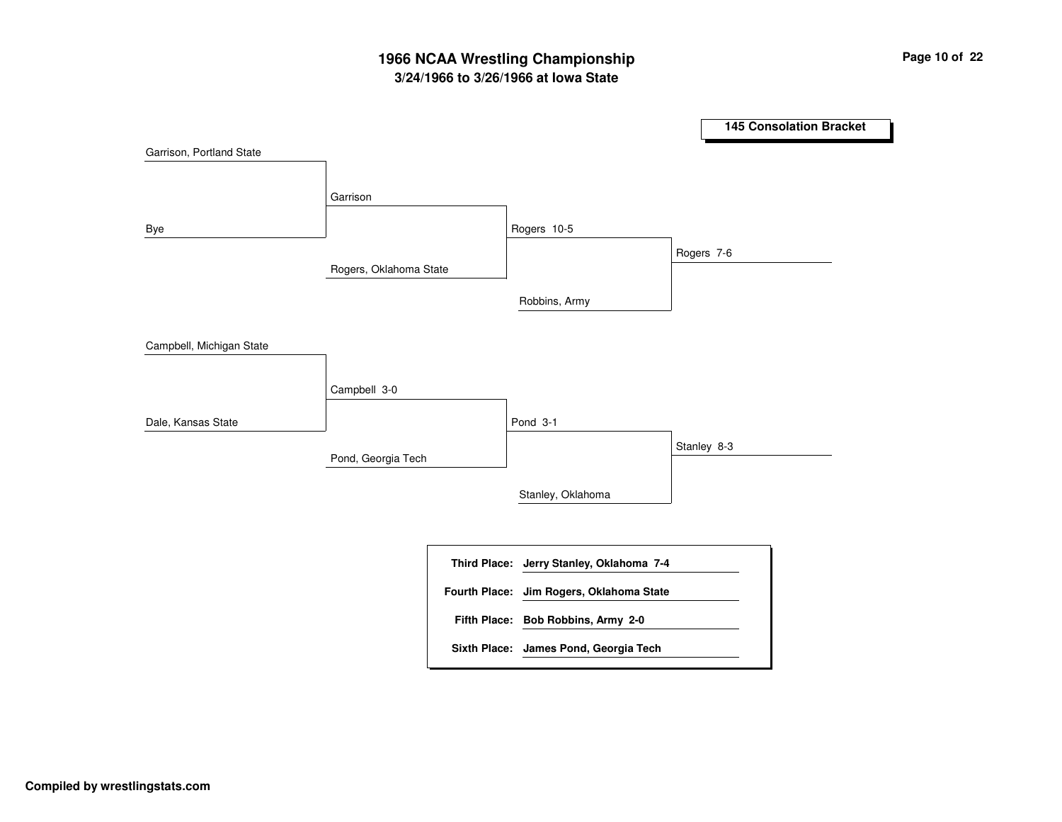# **3/24/1966 to 3/26/1966 at Iowa State 1966 NCAA Wrestling Championship Page <sup>10</sup> of <sup>22</sup>**

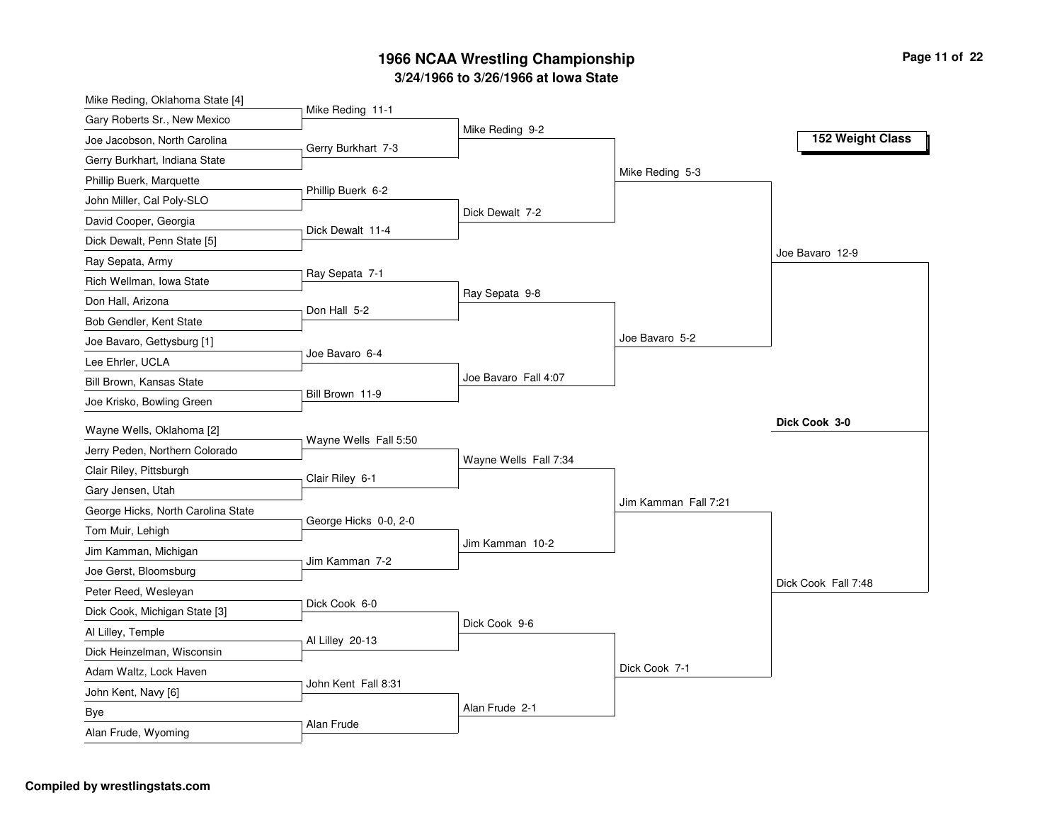| Mike Reding, Oklahoma State [4]    |                       |                       |                      |                     |
|------------------------------------|-----------------------|-----------------------|----------------------|---------------------|
| Gary Roberts Sr., New Mexico       | Mike Reding 11-1      |                       |                      |                     |
| Joe Jacobson, North Carolina       | Gerry Burkhart 7-3    | Mike Reding 9-2       |                      | 152 Weight Class    |
| Gerry Burkhart, Indiana State      |                       |                       |                      |                     |
| Phillip Buerk, Marquette           |                       |                       | Mike Reding 5-3      |                     |
| John Miller, Cal Poly-SLO          | Phillip Buerk 6-2     |                       |                      |                     |
| David Cooper, Georgia              |                       | Dick Dewalt 7-2       |                      |                     |
| Dick Dewalt, Penn State [5]        | Dick Dewalt 11-4      |                       |                      |                     |
| Ray Sepata, Army                   |                       |                       |                      | Joe Bavaro 12-9     |
| Rich Wellman, Iowa State           | Ray Sepata 7-1        |                       |                      |                     |
| Don Hall, Arizona                  | Don Hall 5-2          | Ray Sepata 9-8        |                      |                     |
| Bob Gendler, Kent State            |                       |                       |                      |                     |
| Joe Bavaro, Gettysburg [1]         |                       |                       | Joe Bavaro 5-2       |                     |
| Lee Ehrler, UCLA                   | Joe Bavaro 6-4        |                       |                      |                     |
| Bill Brown, Kansas State           |                       | Joe Bavaro Fall 4:07  |                      |                     |
| Joe Krisko, Bowling Green          | Bill Brown 11-9       |                       |                      |                     |
| Wayne Wells, Oklahoma [2]          |                       |                       |                      | Dick Cook 3-0       |
| Jerry Peden, Northern Colorado     | Wayne Wells Fall 5:50 |                       |                      |                     |
| Clair Riley, Pittsburgh            | Clair Riley 6-1       | Wayne Wells Fall 7:34 |                      |                     |
| Gary Jensen, Utah                  |                       |                       |                      |                     |
| George Hicks, North Carolina State |                       |                       | Jim Kamman Fall 7:21 |                     |
| Tom Muir, Lehigh                   | George Hicks 0-0, 2-0 |                       |                      |                     |
| Jim Kamman, Michigan               |                       | Jim Kamman 10-2       |                      |                     |
| Joe Gerst, Bloomsburg              | Jim Kamman 7-2        |                       |                      |                     |
| Peter Reed, Wesleyan               |                       |                       |                      | Dick Cook Fall 7:48 |
| Dick Cook, Michigan State [3]      | Dick Cook 6-0         |                       |                      |                     |
| Al Lilley, Temple                  |                       | Dick Cook 9-6         |                      |                     |
| Dick Heinzelman, Wisconsin         | Al Lilley 20-13       |                       |                      |                     |
| Adam Waltz, Lock Haven             |                       |                       | Dick Cook 7-1        |                     |
| John Kent, Navy [6]                | John Kent Fall 8:31   |                       |                      |                     |
| Bye                                |                       | Alan Frude 2-1        |                      |                     |
| Alan Frude, Wyoming                | Alan Frude            |                       |                      |                     |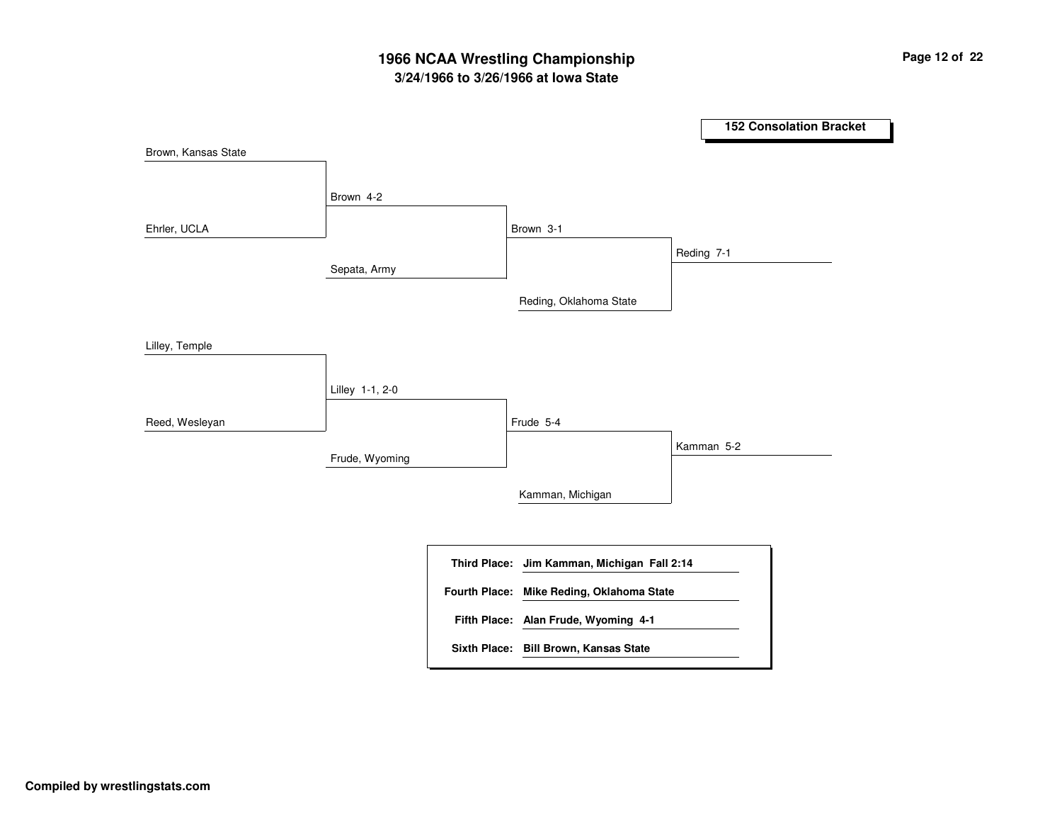# **3/24/1966 to 3/26/1966 at Iowa State 1966 NCAA Wrestling Championship Page <sup>12</sup> of <sup>22</sup>**

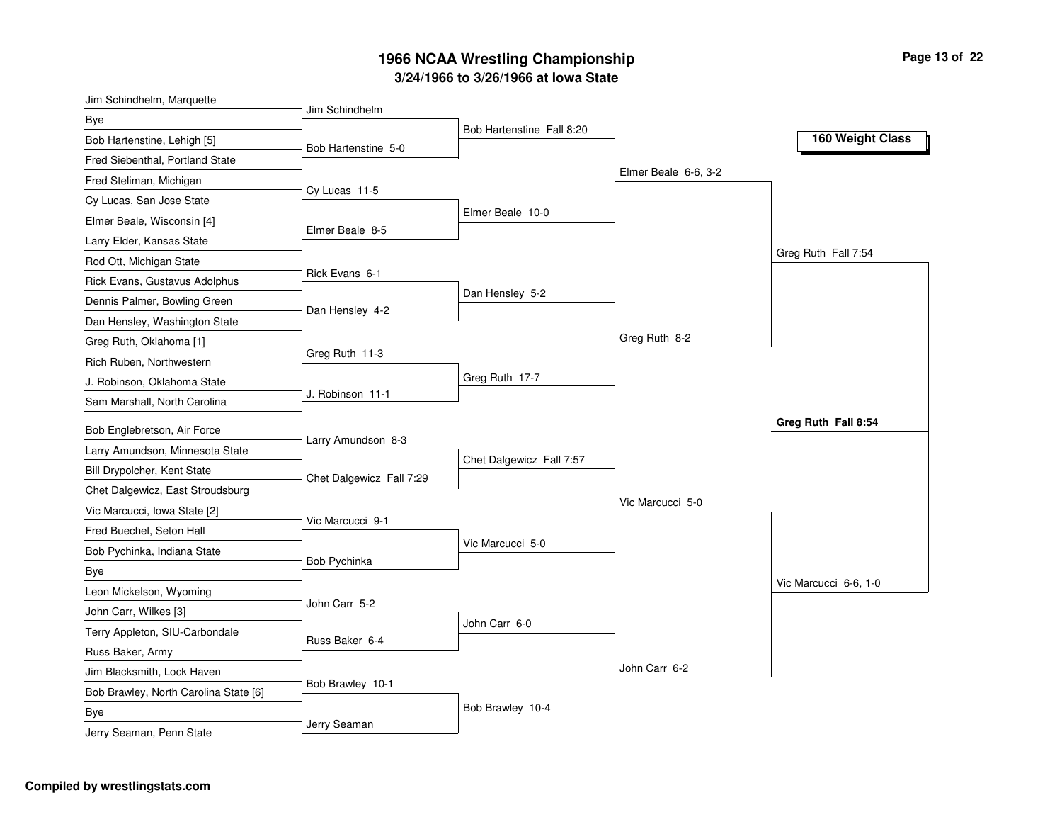| Jim Schindhelm, Marquette             | Jim Schindhelm           |                           |                      |                       |
|---------------------------------------|--------------------------|---------------------------|----------------------|-----------------------|
| Bye                                   |                          | Bob Hartenstine Fall 8:20 |                      |                       |
| Bob Hartenstine, Lehigh [5]           | Bob Hartenstine 5-0      |                           |                      | 160 Weight Class      |
| Fred Siebenthal, Portland State       |                          |                           |                      |                       |
| Fred Steliman, Michigan               |                          |                           | Elmer Beale 6-6, 3-2 |                       |
| Cy Lucas, San Jose State              | Cy Lucas 11-5            |                           |                      |                       |
| Elmer Beale, Wisconsin [4]            | Elmer Beale 8-5          | Elmer Beale 10-0          |                      |                       |
| Larry Elder, Kansas State             |                          |                           |                      |                       |
| Rod Ott, Michigan State               |                          |                           |                      | Greg Ruth Fall 7:54   |
| Rick Evans, Gustavus Adolphus         | Rick Evans 6-1           |                           |                      |                       |
| Dennis Palmer, Bowling Green          | Dan Hensley 4-2          | Dan Hensley 5-2           |                      |                       |
| Dan Hensley, Washington State         |                          |                           |                      |                       |
| Greg Ruth, Oklahoma [1]               |                          |                           | Greg Ruth 8-2        |                       |
| Rich Ruben, Northwestern              | Greg Ruth 11-3           |                           |                      |                       |
| J. Robinson, Oklahoma State           |                          | Greg Ruth 17-7            |                      |                       |
| Sam Marshall, North Carolina          | J. Robinson 11-1         |                           |                      |                       |
| Bob Englebretson, Air Force           | Larry Amundson 8-3       |                           |                      | Greg Ruth Fall 8:54   |
| Larry Amundson, Minnesota State       |                          | Chet Dalgewicz Fall 7:57  |                      |                       |
| Bill Drypolcher, Kent State           | Chet Dalgewicz Fall 7:29 |                           |                      |                       |
| Chet Dalgewicz, East Stroudsburg      |                          |                           |                      |                       |
| Vic Marcucci, Iowa State [2]          | Vic Marcucci 9-1         |                           | Vic Marcucci 5-0     |                       |
| Fred Buechel, Seton Hall              |                          |                           |                      |                       |
| Bob Pychinka, Indiana State           | Bob Pychinka             | Vic Marcucci 5-0          |                      |                       |
| <b>Bye</b>                            |                          |                           |                      |                       |
| Leon Mickelson, Wyoming               |                          |                           |                      | Vic Marcucci 6-6, 1-0 |
| John Carr, Wilkes [3]                 | John Carr 5-2            |                           |                      |                       |
| Terry Appleton, SIU-Carbondale        | Russ Baker 6-4           | John Carr 6-0             |                      |                       |
| Russ Baker, Army                      |                          |                           |                      |                       |
| Jim Blacksmith, Lock Haven            |                          |                           | John Carr 6-2        |                       |
| Bob Brawley, North Carolina State [6] | Bob Brawley 10-1         |                           |                      |                       |
| <b>Bye</b>                            |                          | Bob Brawley 10-4          |                      |                       |
| Jerry Seaman, Penn State              | Jerry Seaman             |                           |                      |                       |
|                                       |                          |                           |                      |                       |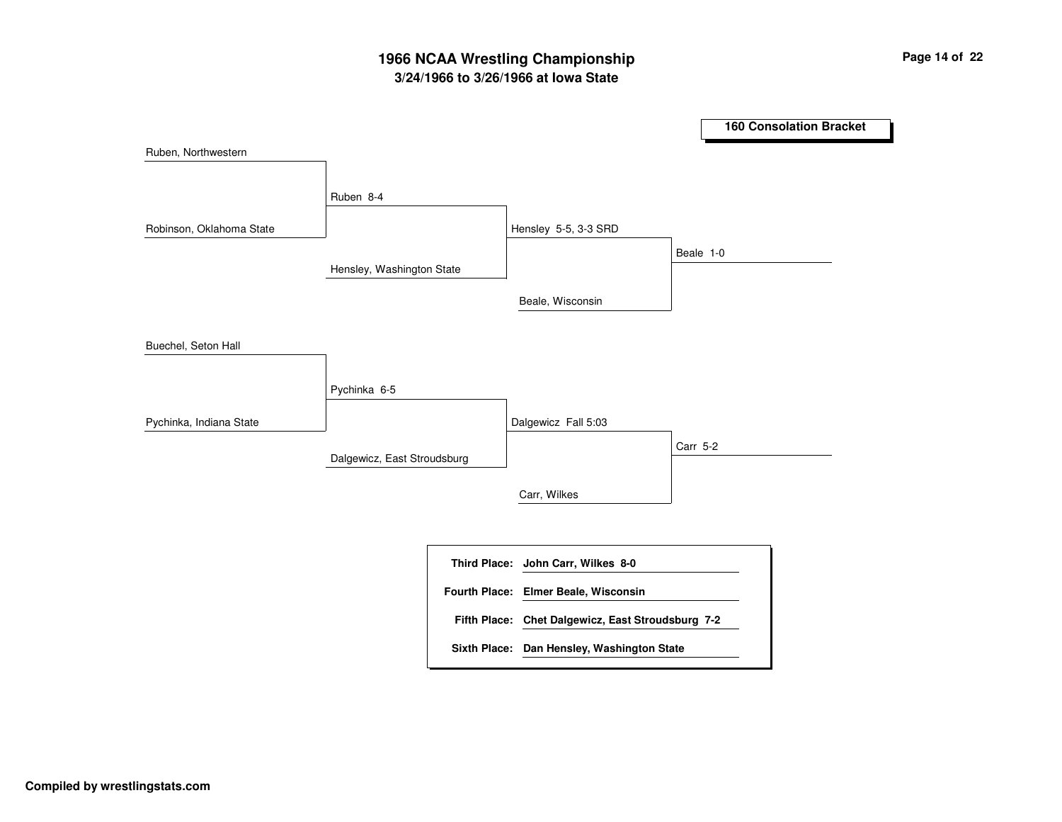# **3/24/1966 to 3/26/1966 at Iowa State 1966 NCAA Wrestling Championship Page <sup>14</sup> of <sup>22</sup>**

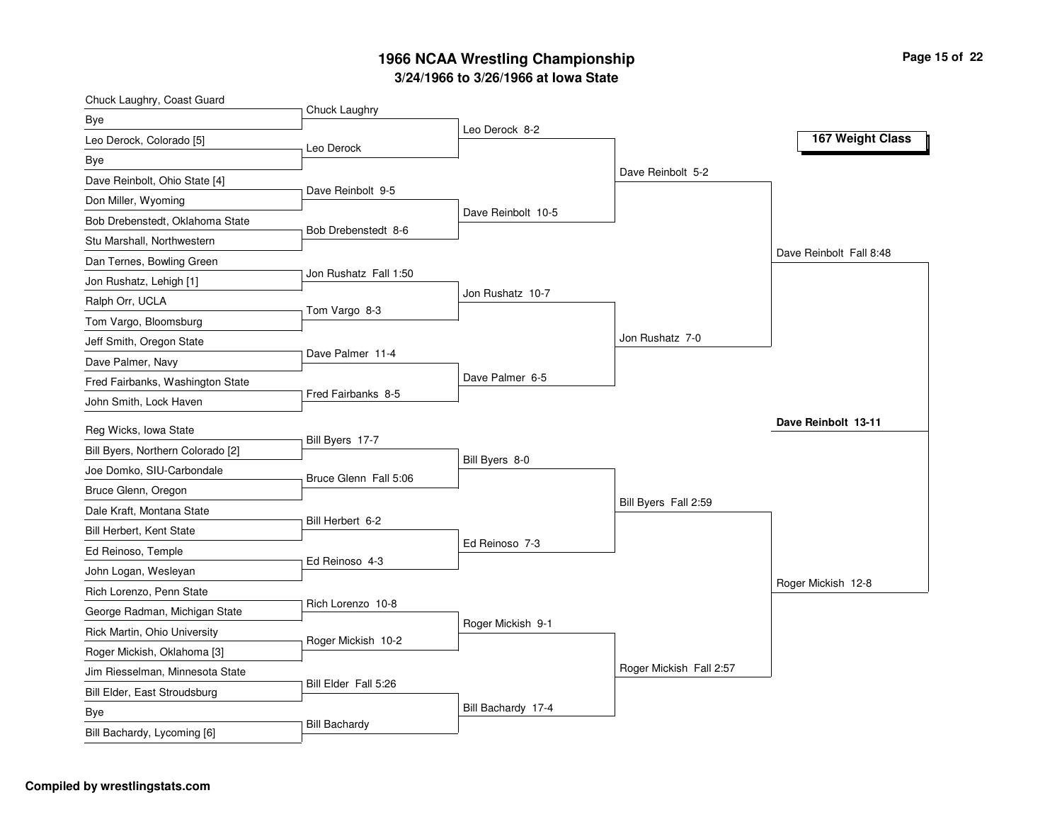| Chuck Laughry, Coast Guard        | Chuck Laughry         |                    |                         |                         |
|-----------------------------------|-----------------------|--------------------|-------------------------|-------------------------|
| Bye                               |                       | Leo Derock 8-2     |                         |                         |
| Leo Derock, Colorado [5]          | Leo Derock            |                    |                         | 167 Weight Class        |
| Bye                               |                       |                    |                         |                         |
| Dave Reinbolt, Ohio State [4]     |                       |                    | Dave Reinbolt 5-2       |                         |
| Don Miller, Wyoming               | Dave Reinbolt 9-5     |                    |                         |                         |
| Bob Drebenstedt, Oklahoma State   | Bob Drebenstedt 8-6   | Dave Reinbolt 10-5 |                         |                         |
| Stu Marshall, Northwestern        |                       |                    |                         |                         |
| Dan Ternes, Bowling Green         |                       |                    |                         | Dave Reinbolt Fall 8:48 |
| Jon Rushatz, Lehigh [1]           | Jon Rushatz Fall 1:50 |                    |                         |                         |
| Ralph Orr, UCLA                   | Tom Vargo 8-3         | Jon Rushatz 10-7   |                         |                         |
| Tom Vargo, Bloomsburg             |                       |                    |                         |                         |
| Jeff Smith, Oregon State          |                       |                    | Jon Rushatz 7-0         |                         |
| Dave Palmer, Navy                 | Dave Palmer 11-4      |                    |                         |                         |
| Fred Fairbanks, Washington State  |                       | Dave Palmer 6-5    |                         |                         |
| John Smith, Lock Haven            | Fred Fairbanks 8-5    |                    |                         |                         |
| Reg Wicks, Iowa State             |                       |                    |                         | Dave Reinbolt 13-11     |
| Bill Byers, Northern Colorado [2] | Bill Byers 17-7       | Bill Byers 8-0     |                         |                         |
| Joe Domko, SIU-Carbondale         | Bruce Glenn Fall 5:06 |                    |                         |                         |
| Bruce Glenn, Oregon               |                       |                    |                         |                         |
| Dale Kraft, Montana State         |                       |                    | Bill Byers Fall 2:59    |                         |
| Bill Herbert, Kent State          | Bill Herbert 6-2      |                    |                         |                         |
| Ed Reinoso, Temple                | Ed Reinoso 4-3        | Ed Reinoso 7-3     |                         |                         |
| John Logan, Wesleyan              |                       |                    |                         |                         |
| Rich Lorenzo, Penn State          |                       |                    |                         | Roger Mickish 12-8      |
| George Radman, Michigan State     | Rich Lorenzo 10-8     |                    |                         |                         |
| Rick Martin, Ohio University      | Roger Mickish 10-2    | Roger Mickish 9-1  |                         |                         |
| Roger Mickish, Oklahoma [3]       |                       |                    |                         |                         |
| Jim Riesselman, Minnesota State   |                       |                    | Roger Mickish Fall 2:57 |                         |
| Bill Elder, East Stroudsburg      | Bill Elder Fall 5:26  |                    |                         |                         |
| Bye                               |                       | Bill Bachardy 17-4 |                         |                         |
| Bill Bachardy, Lycoming [6]       | <b>Bill Bachardy</b>  |                    |                         |                         |
|                                   |                       |                    |                         |                         |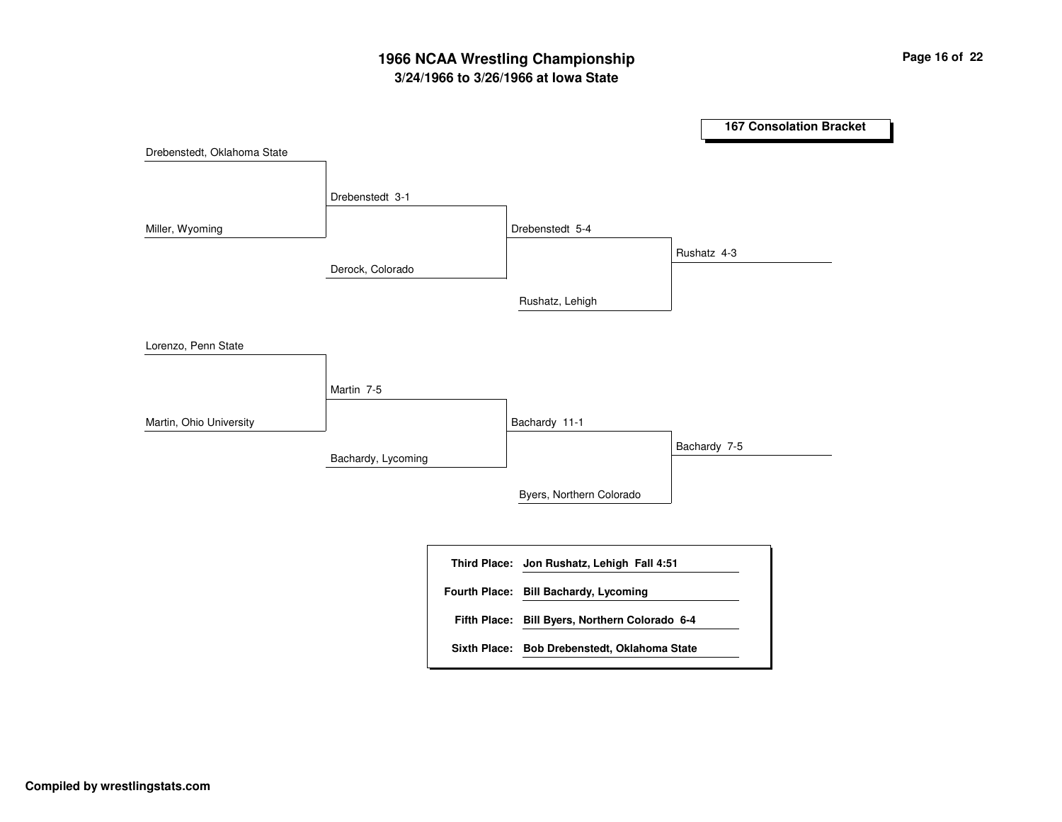# **3/24/1966 to 3/26/1966 at Iowa State 1966 NCAA Wrestling Championship Page <sup>16</sup> of <sup>22</sup>**

**167 Consolation Bracket** Derock, Colorado Bachardy, Lycoming Drebenstedt 3-1Martin 7-5 Drebenstedt 5-4Bachardy 11-1 Rushatz, Lehigh Byers, Northern Colorado Rushatz 4-3 Bachardy 7-5 Drebenstedt, Oklahoma State Miller, Wyoming Lorenzo, Penn State Martin, Ohio University **Jon Rushatz, Lehigh Fall 4:51 Third Place: Bill Byers, Northern Colorado 6-4 Fifth Place: Fourth Place: Bill Bachardy, Lycoming Sixth Place: Bob Drebenstedt, Oklahoma State**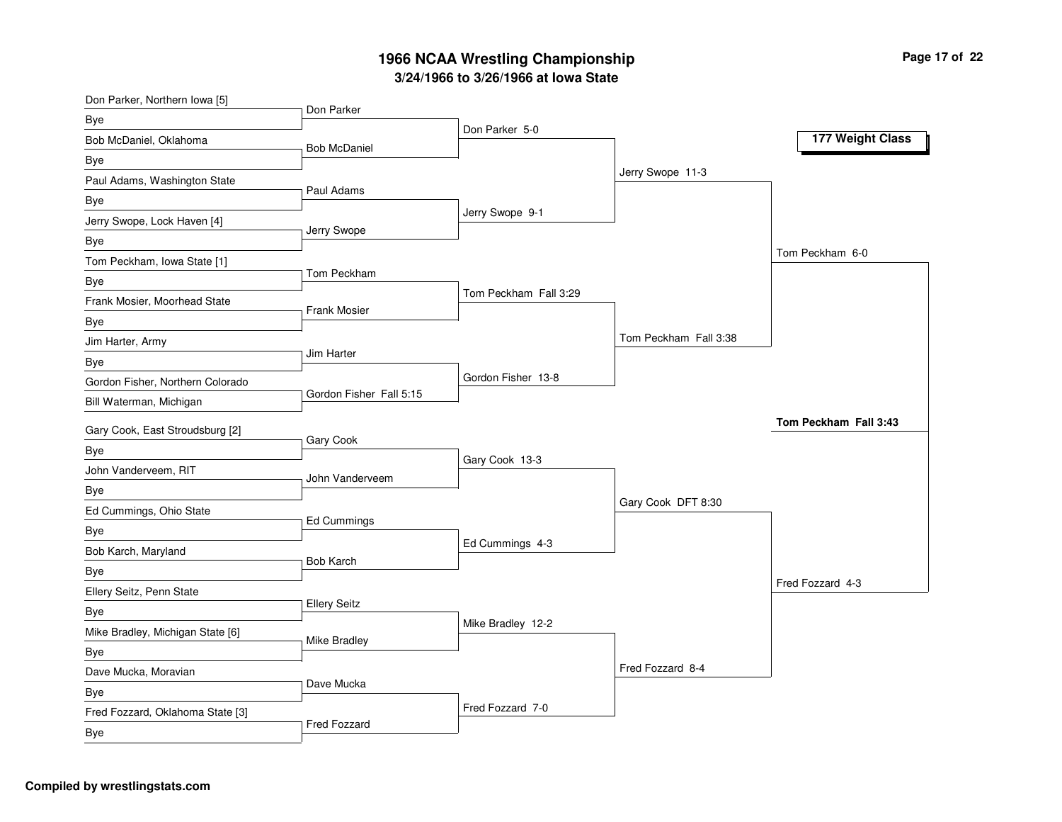| Don Parker, Northern Iowa [5]    | Don Parker              |                       |                       |                       |
|----------------------------------|-------------------------|-----------------------|-----------------------|-----------------------|
| <b>Bye</b>                       |                         | Don Parker 5-0        |                       |                       |
| Bob McDaniel, Oklahoma           | <b>Bob McDaniel</b>     |                       |                       | 177 Weight Class      |
| <b>Bye</b>                       |                         |                       |                       |                       |
| Paul Adams, Washington State     | Paul Adams              |                       | Jerry Swope 11-3      |                       |
| Bye                              |                         |                       |                       |                       |
| Jerry Swope, Lock Haven [4]      |                         | Jerry Swope 9-1       |                       |                       |
| <b>Bye</b>                       | Jerry Swope             |                       |                       |                       |
| Tom Peckham, Iowa State [1]      |                         |                       |                       | Tom Peckham 6-0       |
| <b>Bye</b>                       | Tom Peckham             |                       |                       |                       |
| Frank Mosier, Moorhead State     | <b>Frank Mosier</b>     | Tom Peckham Fall 3:29 |                       |                       |
| Bye                              |                         |                       |                       |                       |
| Jim Harter, Army                 |                         |                       | Tom Peckham Fall 3:38 |                       |
| <b>Bye</b>                       | Jim Harter              |                       |                       |                       |
| Gordon Fisher, Northern Colorado |                         | Gordon Fisher 13-8    |                       |                       |
| Bill Waterman, Michigan          | Gordon Fisher Fall 5:15 |                       |                       |                       |
| Gary Cook, East Stroudsburg [2]  |                         |                       |                       | Tom Peckham Fall 3:43 |
| Bye                              | Gary Cook               |                       |                       |                       |
| John Vanderveem, RIT             | John Vanderveem         | Gary Cook 13-3        |                       |                       |
| Bye                              |                         |                       |                       |                       |
| Ed Cummings, Ohio State          |                         |                       | Gary Cook DFT 8:30    |                       |
| <b>Bye</b>                       | Ed Cummings             |                       |                       |                       |
| Bob Karch, Maryland              |                         | Ed Cummings 4-3       |                       |                       |
| Bye                              | <b>Bob Karch</b>        |                       |                       |                       |
| Ellery Seitz, Penn State         |                         |                       |                       | Fred Fozzard 4-3      |
| Bye                              | <b>Ellery Seitz</b>     |                       |                       |                       |
| Mike Bradley, Michigan State [6] |                         | Mike Bradley 12-2     |                       |                       |
| <b>Bye</b>                       | <b>Mike Bradley</b>     |                       |                       |                       |
| Dave Mucka, Moravian             |                         |                       | Fred Fozzard 8-4      |                       |
| Bye                              | Dave Mucka              |                       |                       |                       |
| Fred Fozzard, Oklahoma State [3] |                         | Fred Fozzard 7-0      |                       |                       |
| <b>Bye</b>                       | Fred Fozzard            |                       |                       |                       |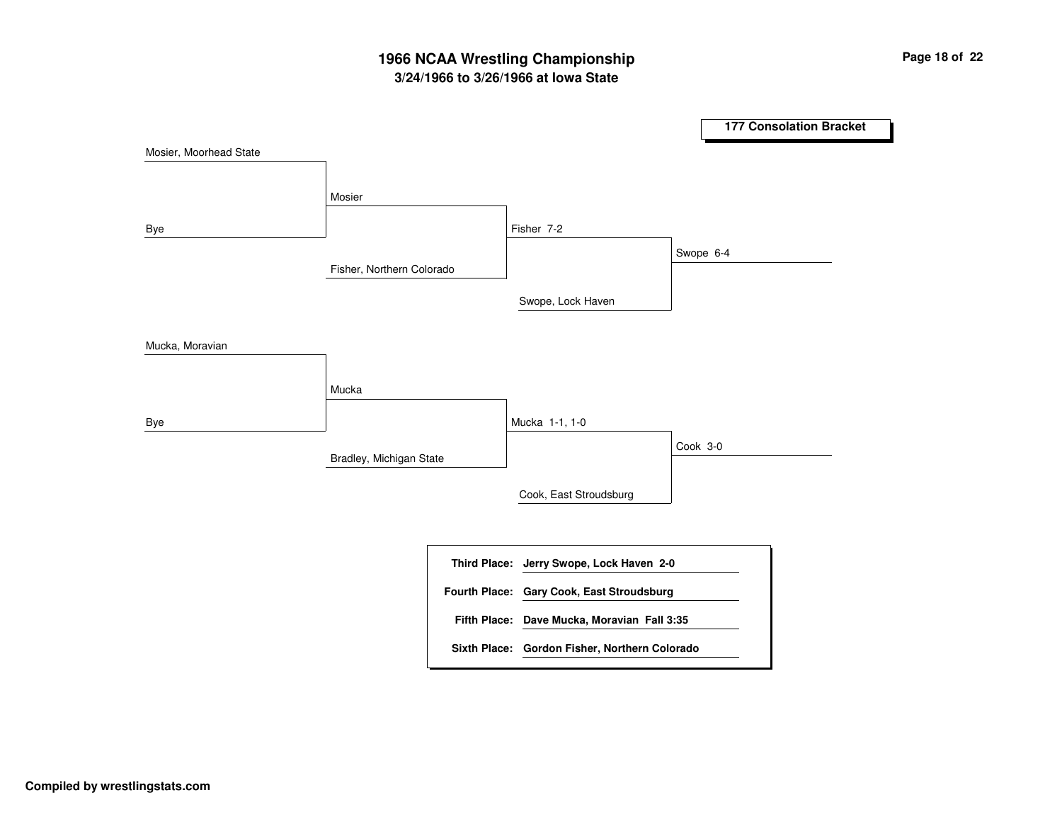# **3/24/1966 to 3/26/1966 at Iowa State 1966 NCAA Wrestling Championship Page <sup>18</sup> of <sup>22</sup>**

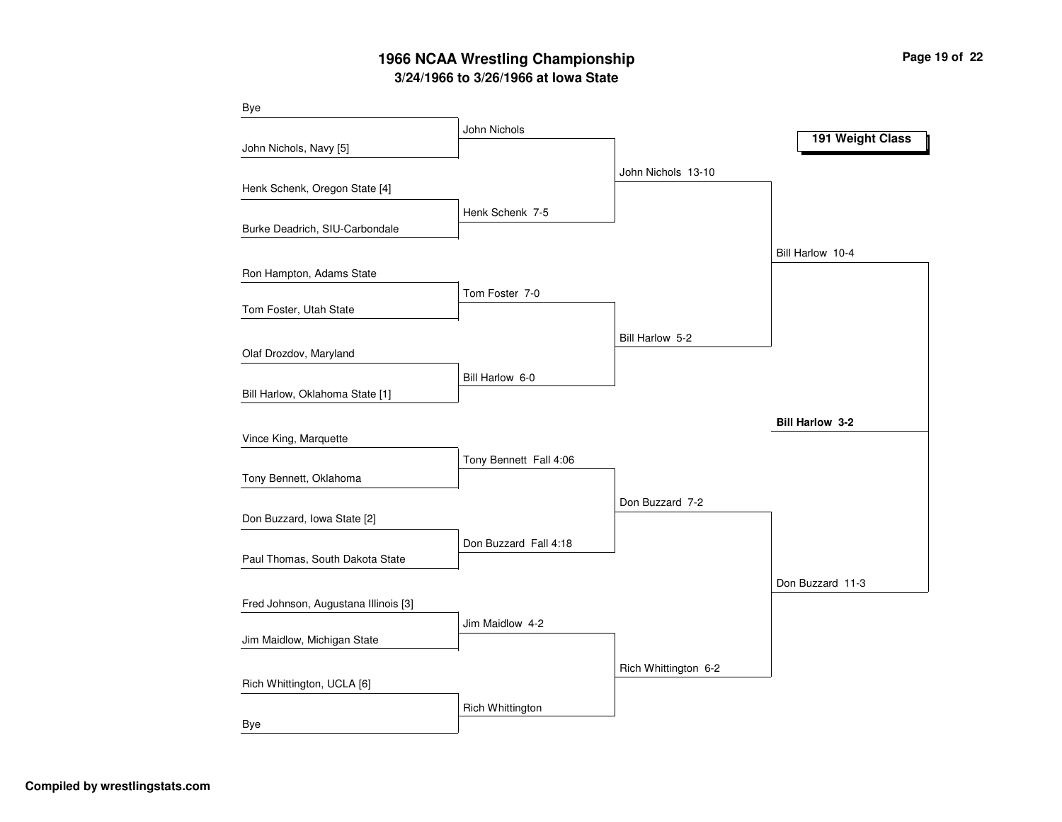# **3/24/1966 to 3/26/1966 at Iowa State 1966 NCAA Wrestling Championship Page <sup>19</sup> of <sup>22</sup>**

| Bye                                  |                        |                      |                        |
|--------------------------------------|------------------------|----------------------|------------------------|
|                                      | John Nichols           |                      | 191 Weight Class       |
| John Nichols, Navy [5]               |                        |                      |                        |
|                                      |                        | John Nichols 13-10   |                        |
| Henk Schenk, Oregon State [4]        |                        |                      |                        |
|                                      | Henk Schenk 7-5        |                      |                        |
| Burke Deadrich, SIU-Carbondale       |                        |                      |                        |
|                                      |                        |                      | Bill Harlow 10-4       |
| Ron Hampton, Adams State             |                        |                      |                        |
| Tom Foster, Utah State               | Tom Foster 7-0         |                      |                        |
|                                      |                        |                      |                        |
|                                      |                        | Bill Harlow 5-2      |                        |
| Olaf Drozdov, Maryland               |                        |                      |                        |
| Bill Harlow, Oklahoma State [1]      | Bill Harlow 6-0        |                      |                        |
|                                      |                        |                      |                        |
|                                      |                        |                      | <b>Bill Harlow 3-2</b> |
| Vince King, Marquette                |                        |                      |                        |
| Tony Bennett, Oklahoma               | Tony Bennett Fall 4:06 |                      |                        |
|                                      |                        |                      |                        |
| Don Buzzard, Iowa State [2]          |                        | Don Buzzard 7-2      |                        |
|                                      | Don Buzzard Fall 4:18  |                      |                        |
| Paul Thomas, South Dakota State      |                        |                      |                        |
|                                      |                        |                      | Don Buzzard 11-3       |
| Fred Johnson, Augustana Illinois [3] |                        |                      |                        |
|                                      | Jim Maidlow 4-2        |                      |                        |
| Jim Maidlow, Michigan State          |                        |                      |                        |
|                                      |                        | Rich Whittington 6-2 |                        |
| Rich Whittington, UCLA [6]           |                        |                      |                        |
|                                      | Rich Whittington       |                      |                        |
| Bye                                  |                        |                      |                        |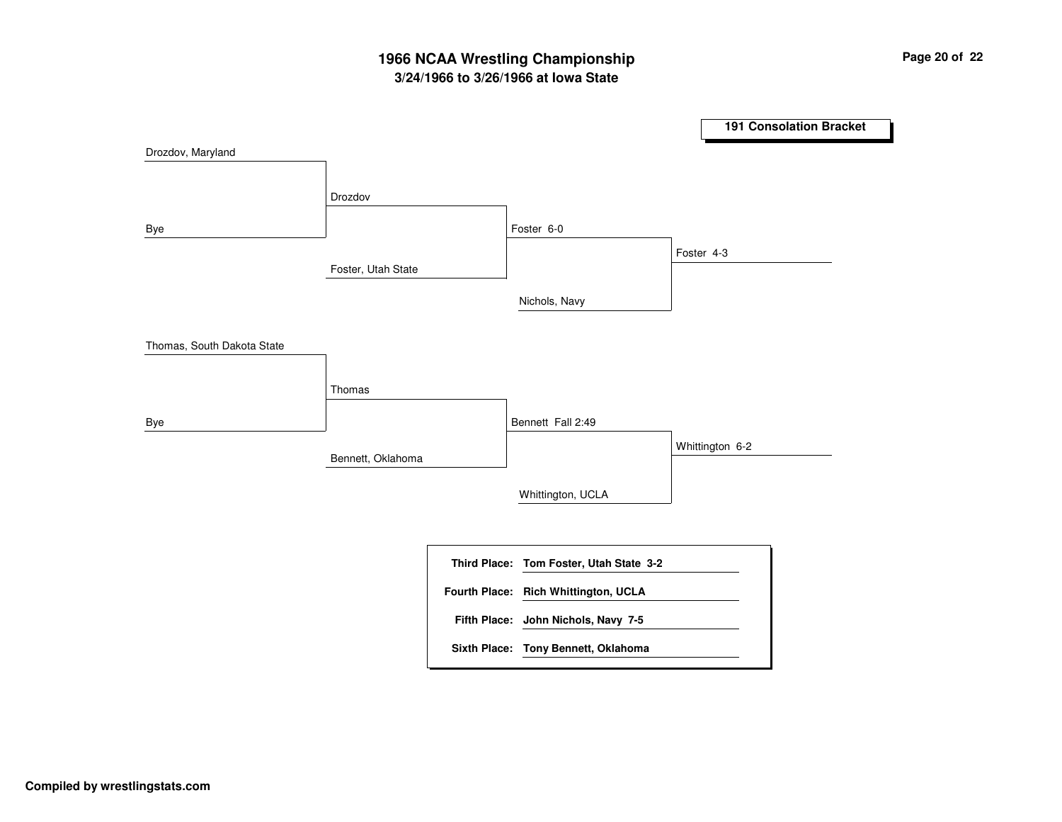# **3/24/1966 to 3/26/1966 at Iowa State 1966 NCAA Wrestling Championship Page <sup>20</sup> of <sup>22</sup>**

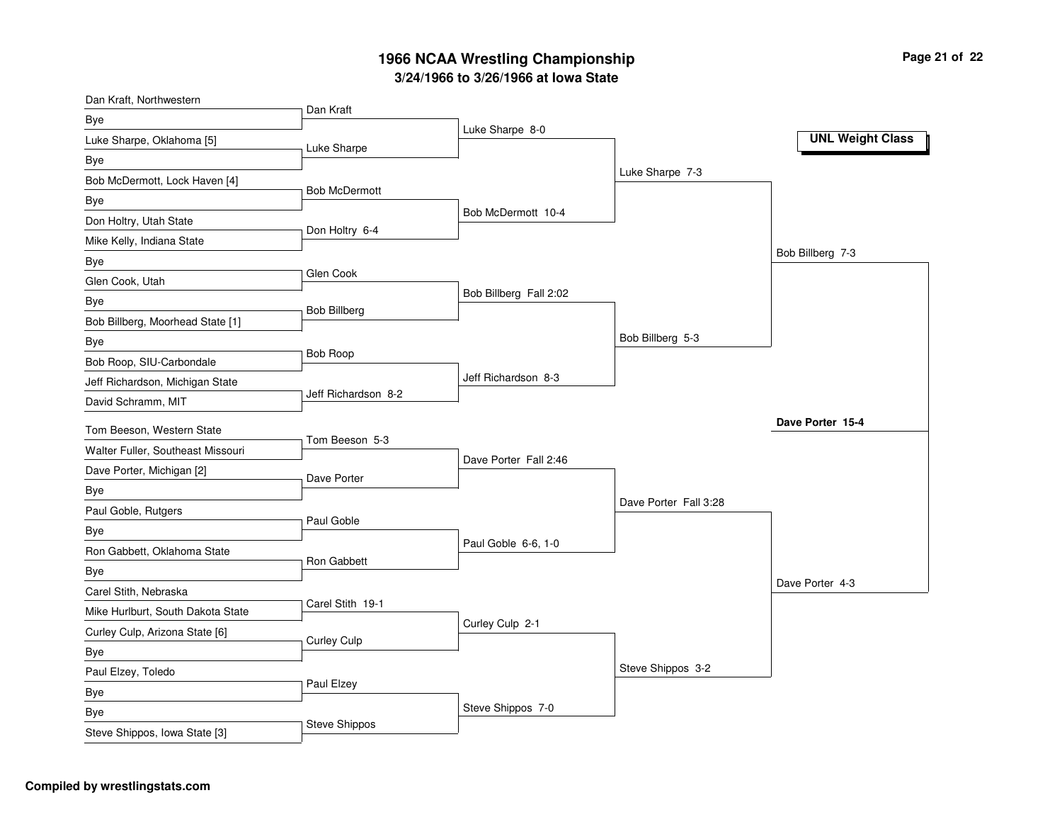| Dan Kraft, Northwestern           |                      |                        |                       |                         |
|-----------------------------------|----------------------|------------------------|-----------------------|-------------------------|
| Bye                               | Dan Kraft            |                        |                       |                         |
| Luke Sharpe, Oklahoma [5]         | Luke Sharpe          | Luke Sharpe 8-0        |                       | <b>UNL Weight Class</b> |
| Bye                               |                      |                        |                       |                         |
| Bob McDermott, Lock Haven [4]     |                      |                        | Luke Sharpe 7-3       |                         |
| Bye                               | <b>Bob McDermott</b> |                        |                       |                         |
| Don Holtry, Utah State            |                      | Bob McDermott 10-4     |                       |                         |
| Mike Kelly, Indiana State         | Don Holtry 6-4       |                        |                       |                         |
| Bye                               |                      |                        |                       | Bob Billberg 7-3        |
| Glen Cook, Utah                   | Glen Cook            |                        |                       |                         |
| Bye                               | <b>Bob Billberg</b>  | Bob Billberg Fall 2:02 |                       |                         |
| Bob Billberg, Moorhead State [1]  |                      |                        |                       |                         |
| Bye                               |                      |                        | Bob Billberg 5-3      |                         |
| Bob Roop, SIU-Carbondale          | <b>Bob Roop</b>      |                        |                       |                         |
| Jeff Richardson, Michigan State   |                      | Jeff Richardson 8-3    |                       |                         |
| David Schramm, MIT                | Jeff Richardson 8-2  |                        |                       |                         |
| Tom Beeson, Western State         |                      |                        |                       | Dave Porter 15-4        |
| Walter Fuller, Southeast Missouri | Tom Beeson 5-3       |                        |                       |                         |
| Dave Porter, Michigan [2]         | Dave Porter          | Dave Porter Fall 2:46  |                       |                         |
| Bye                               |                      |                        |                       |                         |
| Paul Goble, Rutgers               |                      |                        | Dave Porter Fall 3:28 |                         |
| Bye                               | Paul Goble           |                        |                       |                         |
| Ron Gabbett, Oklahoma State       | Ron Gabbett          | Paul Goble 6-6, 1-0    |                       |                         |
| Bye                               |                      |                        |                       |                         |
| Carel Stith, Nebraska             |                      |                        |                       | Dave Porter 4-3         |
| Mike Hurlburt, South Dakota State | Carel Stith 19-1     |                        |                       |                         |
| Curley Culp, Arizona State [6]    | <b>Curley Culp</b>   | Curley Culp 2-1        |                       |                         |
| Bye                               |                      |                        |                       |                         |
| Paul Elzey, Toledo                |                      |                        | Steve Shippos 3-2     |                         |
| Bye                               | Paul Elzey           |                        |                       |                         |
| Bye                               |                      | Steve Shippos 7-0      |                       |                         |
| Steve Shippos, Iowa State [3]     | <b>Steve Shippos</b> |                        |                       |                         |